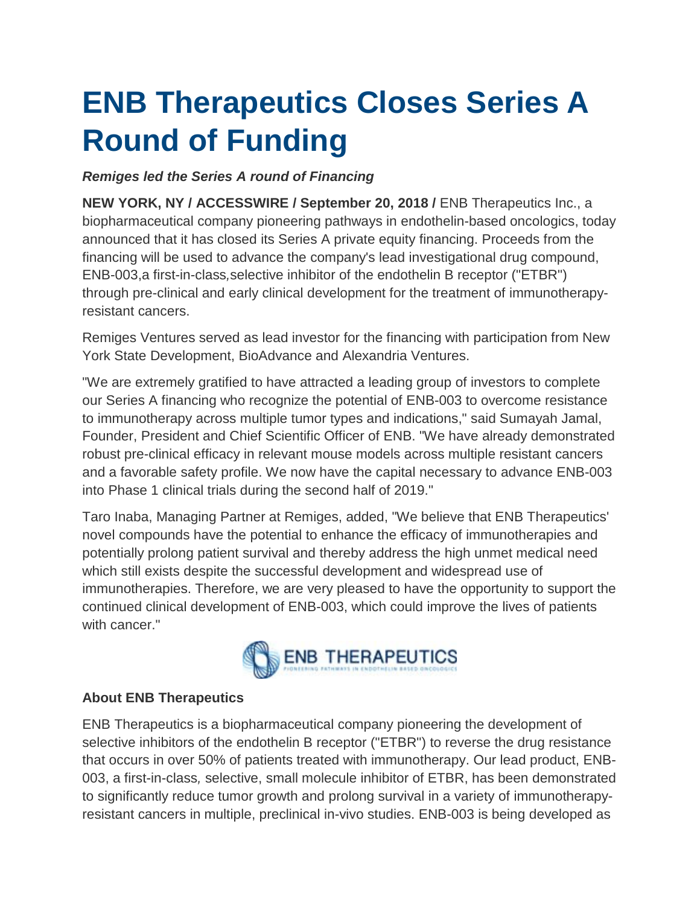# **ENB Therapeutics Closes Series A Round of Funding**

## *Remiges led the Series A round of Financing*

**NEW YORK, NY / ACCESSWIRE / September 20, 2018 / ENB Therapeutics Inc., a** biopharmaceutical company pioneering pathways in endothelin-based oncologics, today announced that it has closed its Series A private equity financing. Proceeds from the financing will be used to advance the company's lead investigational drug compound, ENB-003,a first-in-class*,*selective inhibitor of the endothelin B receptor ("ETBR") through pre-clinical and early clinical development for the treatment of immunotherapyresistant cancers.

Remiges Ventures served as lead investor for the financing with participation from New York State Development, BioAdvance and Alexandria Ventures.

"We are extremely gratified to have attracted a leading group of investors to complete our Series A financing who recognize the potential of ENB-003 to overcome resistance to immunotherapy across multiple tumor types and indications," said Sumayah Jamal, Founder, President and Chief Scientific Officer of ENB. "We have already demonstrated robust pre-clinical efficacy in relevant mouse models across multiple resistant cancers and a favorable safety profile. We now have the capital necessary to advance ENB-003 into Phase 1 clinical trials during the second half of 2019."

Taro Inaba, Managing Partner at Remiges, added, "We believe that ENB Therapeutics' novel compounds have the potential to enhance the efficacy of immunotherapies and potentially prolong patient survival and thereby address the high unmet medical need which still exists despite the successful development and widespread use of immunotherapies. Therefore, we are very pleased to have the opportunity to support the continued clinical development of ENB-003, which could improve the lives of patients with cancer."



### **About ENB Therapeutics**

ENB Therapeutics is a biopharmaceutical company pioneering the development of selective inhibitors of the endothelin B receptor ("ETBR") to reverse the drug resistance that occurs in over 50% of patients treated with immunotherapy. Our lead product, ENB-003, a first-in-class*,* selective, small molecule inhibitor of ETBR, has been demonstrated to significantly reduce tumor growth and prolong survival in a variety of immunotherapyresistant cancers in multiple, preclinical in-vivo studies. ENB-003 is being developed as